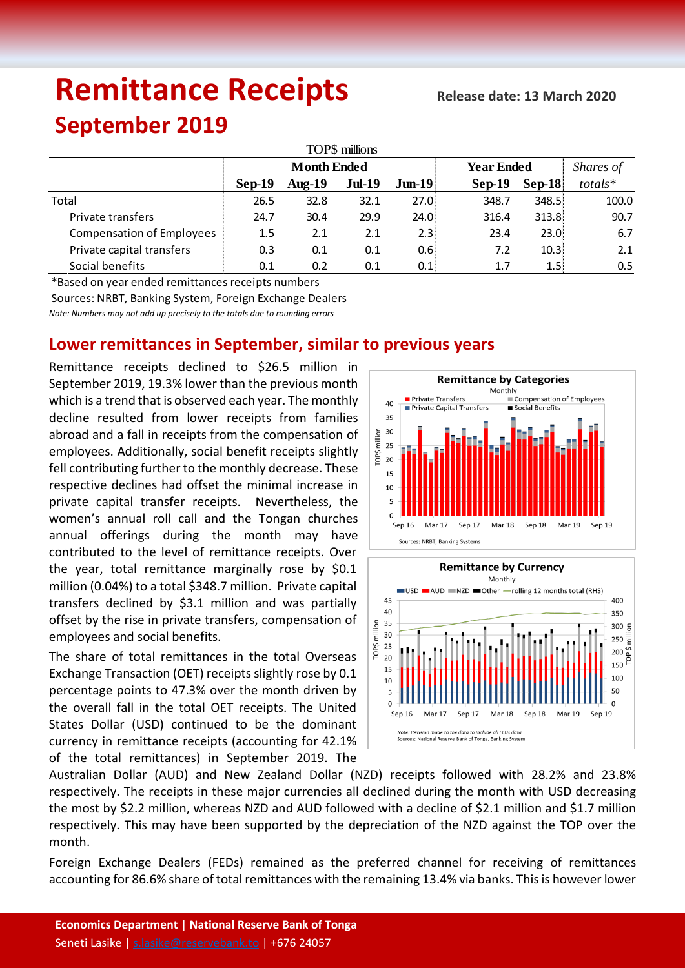# **Remittance Receipts**

## **September 2019**

| TOP\$ millions                   |                    |           |               |                  |                   |                   |               |  |  |  |  |
|----------------------------------|--------------------|-----------|---------------|------------------|-------------------|-------------------|---------------|--|--|--|--|
|                                  | <b>Month Ended</b> |           |               |                  | <b>Year Ended</b> | Shares of         |               |  |  |  |  |
|                                  | Sep-19             | Aug- $19$ | <b>Jul-19</b> | $J$ un-19        | $Sep-19$          | $\textbf{Sep-}18$ | totals*       |  |  |  |  |
| Total                            | 26.5               | 32.8      | 32.1          | 27.0:            | 348.7             | 348.5             | 100.0         |  |  |  |  |
| Private transfers                | 24.7               | 30.4      | 29.9          | 24.0:            | 316.4             | 313.8             | 90.7          |  |  |  |  |
| <b>Compensation of Employees</b> | 1.5                | 2.1       | 2.1           | 2.3 <sup>1</sup> | 23.4              | 23.0              | 6.7           |  |  |  |  |
| Private capital transfers        | 0.3                | 0.1       | 0.1           | 0.6 <sup>1</sup> | 7.2               | 10.3              | 2.1           |  |  |  |  |
| Social benefits                  | 0.1                | 0.2       | 0.1           | 0.1:             | 1.7               | 1.5 <sub>l</sub>  | $0.5^{\circ}$ |  |  |  |  |

\*Based on year ended remittances receipts numbers

Sources: NRBT, Banking System, Foreign Exchange Dealers

*Note: Numbers may not add up precisely to the totals due to rounding errors*

### **Lower remittances in September, similar to previous years**

Remittance receipts declined to \$26.5 million in September 2019, 19.3% lower than the previous month which is a trend that is observed each year. The monthly decline resulted from lower receipts from families abroad and a fall in receipts from the compensation of employees. Additionally, social benefit receipts slightly fell contributing further to the monthly decrease. These respective declines had offset the minimal increase in private capital transfer receipts. Nevertheless, the women's annual roll call and the Tongan churches annual offerings during the month may have contributed to the level of remittance receipts. Over the year, total remittance marginally rose by \$0.1 million (0.04%) to a total \$348.7 million. Private capital transfers declined by \$3.1 million and was partially offset by the rise in private transfers, compensation of employees and social benefits.

The share of total remittances in the total Overseas Exchange Transaction (OET) receipts slightly rose by 0.1 percentage points to 47.3% over the month driven by the overall fall in the total OET receipts. The United States Dollar (USD) continued to be the dominant currency in remittance receipts (accounting for 42.1% of the total remittances) in September 2019. The





Australian Dollar (AUD) and New Zealand Dollar (NZD) receipts followed with 28.2% and 23.8% respectively. The receipts in these major currencies all declined during the month with USD decreasing the most by \$2.2 million, whereas NZD and AUD followed with a decline of \$2.1 million and \$1.7 million respectively. This may have been supported by the depreciation of the NZD against the TOP over the month.

Foreign Exchange Dealers (FEDs) remained as the preferred channel for receiving of remittances accounting for 86.6% share of total remittances with the remaining 13.4% via banks. This is however lower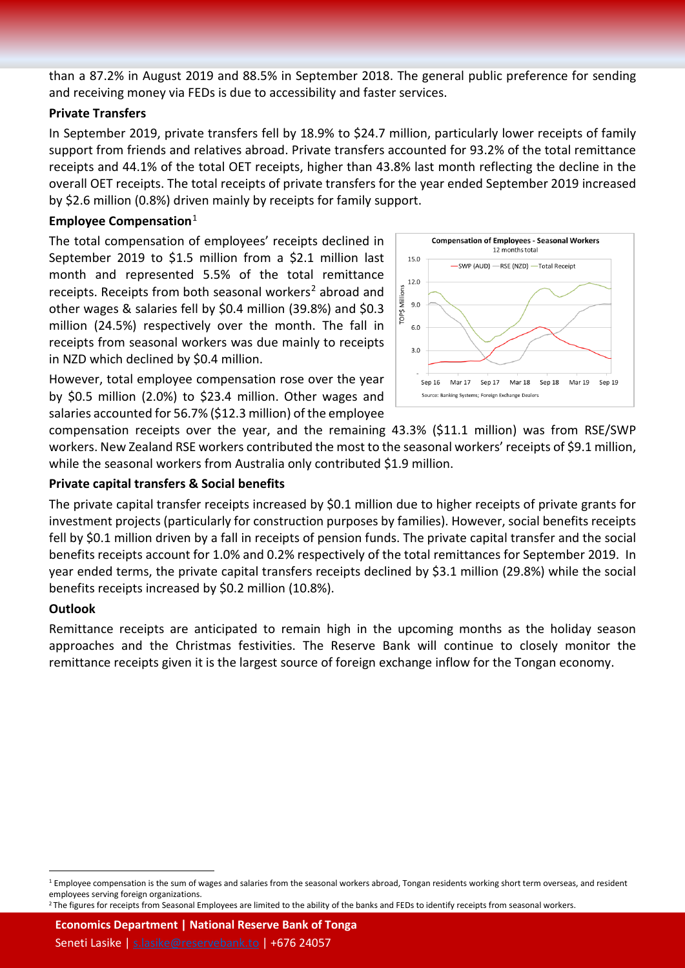than a 87.2% in August 2019 and 88.5% in September 2018. The general public preference for sending and receiving money via FEDs is due to accessibility and faster services.

#### **Private Transfers**

In September 2019, private transfers fell by 18.9% to \$24.7 million, particularly lower receipts of family support from friends and relatives abroad. Private transfers accounted for 93.2% of the total remittance receipts and 44.1% of the total OET receipts, higher than 43.8% last month reflecting the decline in the overall OET receipts. The total receipts of private transfers for the year ended September 2019 increased by \$2.6 million (0.8%) driven mainly by receipts for family support.

#### **Employee Compensation**[1](#page-1-0)

The total compensation of employees' receipts declined in September 2019 to \$1.5 million from a \$2.1 million last month and represented 5.5% of the total remittance receipts. Receipts from both seasonal workers<sup>[2](#page-1-1)</sup> abroad and other wages & salaries fell by \$0.4 million (39.8%) and \$0.3 million (24.5%) respectively over the month. The fall in receipts from seasonal workers was due mainly to receipts in NZD which declined by \$0.4 million.

However, total employee compensation rose over the year by \$0.5 million (2.0%) to \$23.4 million. Other wages and salaries accounted for 56.7% (\$12.3 million) of the employee



compensation receipts over the year, and the remaining 43.3% (\$11.1 million) was from RSE/SWP workers. New Zealand RSE workers contributed the most to the seasonal workers' receipts of \$9.1 million, while the seasonal workers from Australia only contributed \$1.9 million.

#### **Private capital transfers & Social benefits**

The private capital transfer receipts increased by \$0.1 million due to higher receipts of private grants for investment projects (particularly for construction purposes by families). However, social benefits receipts fell by \$0.1 million driven by a fall in receipts of pension funds. The private capital transfer and the social benefits receipts account for 1.0% and 0.2% respectively of the total remittances for September 2019. In year ended terms, the private capital transfers receipts declined by \$3.1 million (29.8%) while the social benefits receipts increased by \$0.2 million (10.8%).

#### **Outlook**

Remittance receipts are anticipated to remain high in the upcoming months as the holiday season approaches and the Christmas festivities. The Reserve Bank will continue to closely monitor the remittance receipts given it is the largest source of foreign exchange inflow for the Tongan economy.

**Economics Department | National Reserve Bank of Tonga**

Seneti Lasike [| s.lasike@reservebank.to](mailto:s.lasike@reservebank.to) | +676 24057

<span id="page-1-0"></span> $1$  Employee compensation is the sum of wages and salaries from the seasonal workers abroad, Tongan residents working short term overseas, and resident employees serving foreign organizations.

<span id="page-1-1"></span><sup>&</sup>lt;sup>2</sup> The figures for receipts from Seasonal Employees are limited to the ability of the banks and FEDs to identify receipts from seasonal workers.